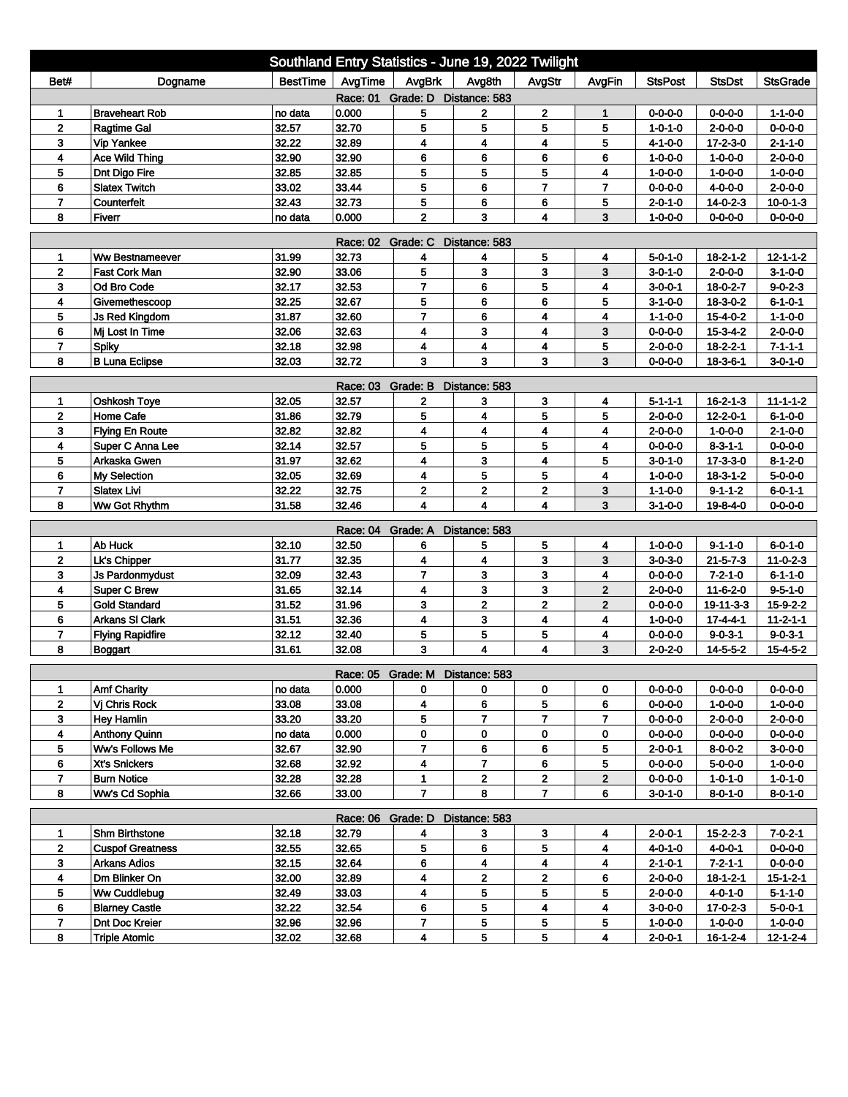| Southland Entry Statistics - June 19, 2022 Twilight |                                             |                |                |                                 |                         |                         |                                |                                    |                               |                                     |  |
|-----------------------------------------------------|---------------------------------------------|----------------|----------------|---------------------------------|-------------------------|-------------------------|--------------------------------|------------------------------------|-------------------------------|-------------------------------------|--|
| Bet#                                                | Dogname                                     | BestTime       | AvgTime        | AvgBrk                          | Avg8th                  | AvgStr                  | AvgFin                         | <b>StsPost</b>                     | <b>StsDst</b>                 | <b>StsGrade</b>                     |  |
| Race: 01 Grade: D Distance: 583                     |                                             |                |                |                                 |                         |                         |                                |                                    |                               |                                     |  |
| 1                                                   | <b>Braveheart Rob</b>                       | no data        | 0.000          | 5                               | $\mathbf{2}$            | $\mathbf 2$             | $\mathbf{1}$                   | $0 - 0 - 0 - 0$                    | 0-0-0-0                       | $1 - 1 - 0 - 0$                     |  |
| $\mathbf{2}$                                        | <b>Ragtime Gal</b>                          | 32.57          | 32.70          | 5                               | 5                       | 5                       | 5                              | $1 - 0 - 1 - 0$                    | $2 - 0 - 0 - 0$               | $0 - 0 - 0 - 0$                     |  |
| 3                                                   | <b>Vip Yankee</b>                           | 32.22          | 32.89          | 4                               | 4                       | 4                       | 5                              | $4 - 1 - 0 - 0$                    | 17-2-3-0                      | $2 - 1 - 1 - 0$                     |  |
| 4                                                   | Ace Wild Thing                              | 32.90          | 32.90          | 6                               | 6                       | 6                       | 6                              | $1 - 0 - 0 - 0$                    | $1 - 0 - 0 - 0$               | $2 - 0 - 0 - 0$                     |  |
| 5                                                   | Dnt Digo Fire                               | 32.85          | 32.85          | 5                               | 5                       | 5                       | 4                              | $1 - 0 - 0 - 0$                    | $1 - 0 - 0 - 0$               | $1 - 0 - 0 - 0$                     |  |
| 6                                                   | <b>Slatex Twitch</b>                        | 33.02          | 33.44          | 5                               | 6                       | $\overline{7}$          | $\overline{7}$                 | $0 - 0 - 0 - 0$                    | $4 - 0 - 0 - 0$               | $2 - 0 - 0 - 0$                     |  |
| $\overline{7}$                                      | Counterfeit                                 | 32.43          | 32.73          | 5                               | 6                       | 6                       | 5                              | $2 - 0 - 1 - 0$                    | $14 - 0 - 2 - 3$              | $10 - 0 - 1 - 3$                    |  |
| 8                                                   | Fiverr                                      | no data        | 0.000          | $\mathbf 2$                     | 3                       | $\overline{\mathbf{4}}$ | 3                              | $1 - 0 - 0 - 0$                    | $0 - 0 - 0 - 0$               | $0 - 0 - 0 - 0$                     |  |
| <b>Race: 02</b><br>Grade: C<br>Distance: 583        |                                             |                |                |                                 |                         |                         |                                |                                    |                               |                                     |  |
| 1                                                   | <b>Ww Bestnameever</b>                      | 31.99          | 32.73          | 4                               | 4                       | 5                       | 4                              | 5-0-1-0                            | $18 - 2 - 1 - 2$              | $12 - 1 - 1 - 2$                    |  |
| $\mathbf{2}$                                        | <b>Fast Cork Man</b>                        | 32.90          | 33.06          | 5                               | 3                       | 3                       | 3                              | $3 - 0 - 1 - 0$                    | $2 - 0 - 0 - 0$               | $3-1-0-0$                           |  |
| 3                                                   | Od Bro Code                                 | 32.17          | 32.53          | $\overline{7}$                  | 6                       | 5                       | 4                              | $3 - 0 - 0 - 1$                    | 18-0-2-7                      | $9 - 0 - 2 - 3$                     |  |
| 4                                                   | Givemethescoop                              | 32.25          | 32.67          | 5                               | 6                       | 6                       | 5                              | $3-1-0-0$                          | $18 - 3 - 0 - 2$              | $6 - 1 - 0 - 1$                     |  |
| 5                                                   | <b>Js Red Kingdom</b>                       | 31.87          | 32.60          | $\overline{7}$                  | 6                       | 4                       | 4                              | $1 - 1 - 0 - 0$                    | $15 - 4 - 0 - 2$              | $1 - 1 - 0 - 0$                     |  |
| 6                                                   | Mi Lost In Time                             | 32.06          | 32.63          | 4                               | 3                       | $\overline{\mathbf{4}}$ | 3                              | $0 - 0 - 0 - 0$                    | $15 - 3 - 4 - 2$              | $2 - 0 - 0 - 0$                     |  |
| $\overline{7}$                                      | <b>Spiky</b>                                | 32.18          | 32.98          | 4                               | $\overline{\mathbf{4}}$ | $\overline{\mathbf{4}}$ | 5                              | $2 - 0 - 0 - 0$                    | $18 - 2 - 2 - 1$              | $7 - 1 - 1 - 1$                     |  |
| 8                                                   | <b>B Luna Eclipse</b>                       | 32.03          | 32.72          | 3                               | 3                       | 3                       | 3                              | $0 - 0 - 0 - 0$                    | $18 - 3 - 6 - 1$              | $3 - 0 - 1 - 0$                     |  |
|                                                     |                                             |                | Race: 03       | Grade: B                        | Distance: 583           |                         |                                |                                    |                               |                                     |  |
| 1                                                   | Oshkosh Toye                                | 32.05          | 32.57          | $\mathbf{2}$                    | 3                       | 3                       | 4                              | $5 - 1 - 1 - 1$                    | $16 - 2 - 1 - 3$              | $11 - 1 - 1 - 2$                    |  |
| $\mathbf 2$                                         | <b>Home Cafe</b>                            | 31.86          | 32.79          | 5                               | 4                       | 5                       | 5                              | $2 - 0 - 0 - 0$                    | $12 - 2 - 0 - 1$              | $6 - 1 - 0 - 0$                     |  |
| 3                                                   | <b>Flying En Route</b>                      | 32.82          | 32.82          | 4                               | 4                       | 4                       | 4                              | $2 - 0 - 0 - 0$                    | $1 - 0 - 0 - 0$               | $2 - 1 - 0 - 0$                     |  |
| 4                                                   | Super C Anna Lee                            | 32.14          | 32.57          | 5                               | 5                       | 5                       | 4                              | $0 - 0 - 0 - 0$                    | $8 - 3 - 1 - 1$               | $0 - 0 - 0 - 0$                     |  |
| 5                                                   | Arkaska Gwen                                | 31.97          | 32.62          | 4                               | 3                       | $\overline{\mathbf{4}}$ | 5                              | $3 - 0 - 1 - 0$                    | $17 - 3 - 3 - 0$              | $8 - 1 - 2 - 0$                     |  |
| 6                                                   | My Selection                                | 32.05          | 32.69          | 4                               | 5                       | 5                       | 4                              | $1 - 0 - 0 - 0$                    | $18 - 3 - 1 - 2$              | $5 - 0 - 0 - 0$                     |  |
| 7                                                   | <b>Slatex Livi</b>                          | 32.22          | 32.75          | $\mathbf 2$                     | $\mathbf 2$             | $\mathbf 2$             | 3                              | $1 - 1 - 0 - 0$                    | 9-1-1-2                       | $6 - 0 - 1 - 1$                     |  |
| 8                                                   | Ww Got Rhythm                               | 31.58          | 32.46          | 4                               | $\overline{\mathbf{4}}$ | $\overline{\mathbf{4}}$ | 3                              | $3 - 1 - 0 - 0$                    | 19-8-4-0                      | $0 - 0 - 0 - 0$                     |  |
|                                                     |                                             |                |                |                                 |                         |                         |                                |                                    |                               |                                     |  |
|                                                     |                                             |                | Race: 04       | Grade: A                        | Distance: 583           |                         |                                |                                    |                               |                                     |  |
| 1                                                   | Ab Huck                                     | 32.10          | 32.50          | 6                               | 5                       | 5                       | 4                              | $1 - 0 - 0 - 0$                    | $9 - 1 - 1 - 0$               | $6 - 0 - 1 - 0$                     |  |
| $\mathbf 2$<br>3                                    | Lk's Chipper                                | 31.77          | 32.35          | 4<br>$\overline{7}$             | 4                       | 3                       | 3                              | $3 - 0 - 3 - 0$                    | $21 - 5 - 7 - 3$              | $11 - 0 - 2 - 3$                    |  |
|                                                     | <b>Js Pardonmydust</b>                      | 32.09          | 32.43          |                                 | 3                       | 3                       | 4                              | $0 - 0 - 0 - 0$                    | $7 - 2 - 1 - 0$               | $6 - 1 - 1 - 0$                     |  |
| 4<br>5                                              | <b>Super C Brew</b><br><b>Gold Standard</b> | 31.65<br>31.52 | 32.14<br>31.96 | 4<br>3                          | 3<br>$\overline{2}$     | 3<br>$\overline{2}$     | $\mathbf{2}$<br>$\overline{2}$ | $2 - 0 - 0 - 0$                    | $11 - 6 - 2 - 0$              | $9 - 5 - 1 - 0$<br>$15 - 9 - 2 - 2$ |  |
| 6                                                   | <b>Arkans SI Clark</b>                      | 31.51          | 32.36          | 4                               | 3                       | 4                       | 4                              | $0 - 0 - 0 - 0$<br>$1 - 0 - 0 - 0$ | 19-11-3-3<br>$17 - 4 - 4 - 1$ | $11 - 2 - 1 - 1$                    |  |
| $\overline{7}$                                      |                                             | 32.12          | 32.40          | 5                               | 5                       | 5                       | 4                              | $0 - 0 - 0 - 0$                    | $9 - 0 - 3 - 1$               | $9 - 0 - 3 - 1$                     |  |
| 8                                                   | <b>Flying Rapidfire</b><br>Boggart          | 31.61          | 32.08          | 3                               | 4                       | $\overline{\mathbf{4}}$ | 3                              | $2 - 0 - 2 - 0$                    | 14-5-5-2                      | $15 - 4 - 5 - 2$                    |  |
|                                                     |                                             |                |                |                                 |                         |                         |                                |                                    |                               |                                     |  |
|                                                     |                                             |                |                | Race: 05 Grade: M Distance: 583 |                         |                         |                                |                                    |                               |                                     |  |
| 1                                                   | <b>Amf Charity</b>                          | no data        | 0.000          | 0                               | 0                       | 0                       | 0                              | $0 - 0 - 0 - 0$                    | 0-0-0-0                       | $0 - 0 - 0 - 0$                     |  |
| $\mathbf{2}$                                        | Vi Chris Rock                               | 33.08          | 33.08          | 4                               | 6                       | 5                       | 6                              | $0 - 0 - 0 - 0$                    | $1 - 0 - 0 - 0$               | $1 - 0 - 0 - 0$                     |  |
| 3                                                   | <b>Hey Hamlin</b>                           | 33.20          | 33.20          | 5                               | $\overline{7}$          | $\overline{7}$          | $\overline{7}$                 | $0 - 0 - 0 - 0$                    | $2 - 0 - 0 - 0$               | $2 - 0 - 0 - 0$                     |  |
| 4                                                   | <b>Anthony Quinn</b>                        | no data        | 0.000          | 0                               | 0                       | 0                       | 0                              | $0 - 0 - 0 - 0$                    | $0 - 0 - 0 - 0$               | $0 - 0 - 0 - 0$                     |  |
| 5                                                   | Ww's Follows Me                             | 32.67          | 32.90          | $\overline{7}$                  | 6                       | 6                       | 5                              | $2 - 0 - 0 - 1$                    | $8 - 0 - 0 - 2$               | $3-0-0-0$                           |  |
| 6                                                   | Xt's Snickers                               | 32.68          | 32.92          | 4                               | $\overline{7}$          | 6                       | 5                              | $0 - 0 - 0 - 0$                    | 5-0-0-0                       | $1 - 0 - 0 - 0$                     |  |
| $\overline{7}$                                      | <b>Burn Notice</b>                          | 32.28          | 32.28          | 1                               | $\mathbf 2$             | $\overline{2}$          | $\mathbf{2}$                   | $0 - 0 - 0 - 0$                    | $1 - 0 - 1 - 0$               | $1 - 0 - 1 - 0$                     |  |
| 8                                                   | Ww's Cd Sophia                              | 32.66          | 33.00          | $\overline{7}$                  | 8                       | $\mathbf{7}$            | 6                              | $3 - 0 - 1 - 0$                    | $8 - 0 - 1 - 0$               | $8 - 0 - 1 - 0$                     |  |
| Race: 06 Grade: D<br>Distance: 583                  |                                             |                |                |                                 |                         |                         |                                |                                    |                               |                                     |  |
| 1                                                   | Shm Birthstone                              | 32.18          | 32.79          | 4                               | 3                       | 3                       | 4                              | $2 - 0 - 0 - 1$                    | $15 - 2 - 2 - 3$              | $7 - 0 - 2 - 1$                     |  |
| $\mathbf{2}$                                        | <b>Cuspof Greatness</b>                     | 32.55          | 32.65          | 5                               | 6                       | 5                       | 4                              | 4-0-1-0                            | 4-0-0-1                       | $0 - 0 - 0 - 0$                     |  |
| 3                                                   | <b>Arkans Adios</b>                         | 32.15          | 32.64          | 6                               | 4                       | 4                       | 4                              | $2 - 1 - 0 - 1$                    | $7 - 2 - 1 - 1$               | $0 - 0 - 0 - 0$                     |  |
| 4                                                   | Dm Blinker On                               | 32.00          | 32.89          | 4                               | $\mathbf 2$             | $\mathbf 2$             | 6                              | $2 - 0 - 0 - 0$                    | $18 - 1 - 2 - 1$              | $15 - 1 - 2 - 1$                    |  |
| 5                                                   | Ww Cuddlebug                                | 32.49          | 33.03          | 4                               | 5                       | 5                       | 5                              | $2 - 0 - 0 - 0$                    | 4-0-1-0                       | $5 - 1 - 1 - 0$                     |  |
| 6                                                   | <b>Blarney Castle</b>                       | 32.22          | 32.54          | 6                               | 5                       | 4                       | 4                              | $3 - 0 - 0 - 0$                    | $17 - 0 - 2 - 3$              | $5 - 0 - 0 - 1$                     |  |
| 7                                                   | Dnt Doc Kreier                              | 32.96          | 32.96          | 7                               | 5                       | 5                       | 5                              | $1 - 0 - 0 - 0$                    | $1 - 0 - 0 - 0$               | $1 - 0 - 0 - 0$                     |  |
| 8                                                   | <b>Triple Atomic</b>                        | 32.02          | 32.68          | 4                               | 5                       | 5                       | 4                              | $2 - 0 - 0 - 1$                    | $16 - 1 - 2 - 4$              | $12 - 124$                          |  |